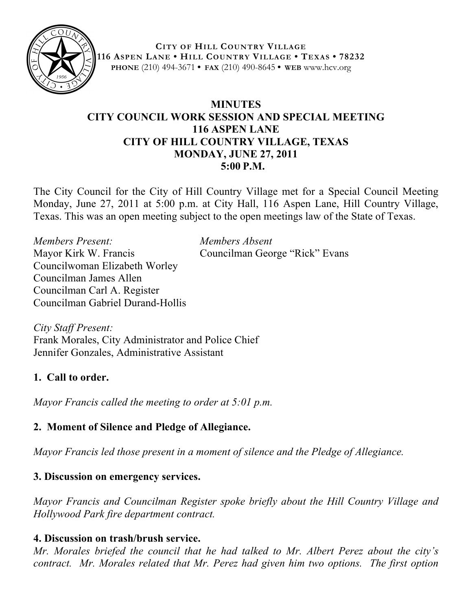

**CITY OF HILL COUNTRY VILLAGE 116 ASPEN LANE • HILL COUNTRY VILLAGE • TEXAS • 78232 PHONE** (210) 494-3671 **• FAX** (210) 490-8645 **• WEB** www.hcv.org

# **MINUTES CITY COUNCIL WORK SESSION AND SPECIAL MEETING 116 ASPEN LANE CITY OF HILL COUNTRY VILLAGE, TEXAS MONDAY, JUNE 27, 2011 5:00 P.M.**

The City Council for the City of Hill Country Village met for a Special Council Meeting Monday, June 27, 2011 at 5:00 p.m. at City Hall, 116 Aspen Lane, Hill Country Village, Texas. This was an open meeting subject to the open meetings law of the State of Texas.

*Members Present: Members Absent* Mayor Kirk W. Francis Councilman George "Rick" Evans Councilwoman Elizabeth Worley Councilman James Allen Councilman Carl A. Register Councilman Gabriel Durand-Hollis

*City Staff Present:* Frank Morales, City Administrator and Police Chief Jennifer Gonzales, Administrative Assistant

# **1. Call to order.**

*Mayor Francis called the meeting to order at 5:01 p.m.*

# **2. Moment of Silence and Pledge of Allegiance.**

*Mayor Francis led those present in a moment of silence and the Pledge of Allegiance.*

# **3. Discussion on emergency services.**

*Mayor Francis and Councilman Register spoke briefly about the Hill Country Village and Hollywood Park fire department contract.* 

## **4. Discussion on trash/brush service.**

*Mr. Morales briefed the council that he had talked to Mr. Albert Perez about the city's contract. Mr. Morales related that Mr. Perez had given him two options. The first option*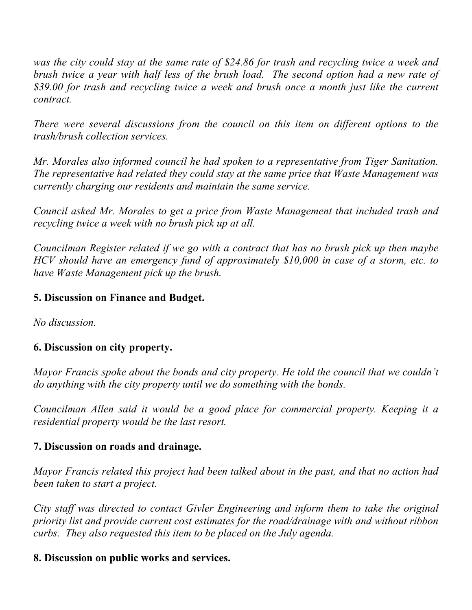*was the city could stay at the same rate of \$24.86 for trash and recycling twice a week and brush twice a year with half less of the brush load. The second option had a new rate of \$39.00 for trash and recycling twice a week and brush once a month just like the current contract.*

*There were several discussions from the council on this item on different options to the trash/brush collection services.* 

*Mr. Morales also informed council he had spoken to a representative from Tiger Sanitation. The representative had related they could stay at the same price that Waste Management was currently charging our residents and maintain the same service.* 

*Council asked Mr. Morales to get a price from Waste Management that included trash and recycling twice a week with no brush pick up at all.*

*Councilman Register related if we go with a contract that has no brush pick up then maybe HCV should have an emergency fund of approximately \$10,000 in case of a storm, etc. to have Waste Management pick up the brush.* 

## **5. Discussion on Finance and Budget.**

*No discussion.*

## **6. Discussion on city property.**

*Mayor Francis spoke about the bonds and city property. He told the council that we couldn't do anything with the city property until we do something with the bonds.* 

*Councilman Allen said it would be a good place for commercial property. Keeping it a residential property would be the last resort.*

## **7. Discussion on roads and drainage.**

*Mayor Francis related this project had been talked about in the past, and that no action had been taken to start a project.* 

*City staff was directed to contact Givler Engineering and inform them to take the original priority list and provide current cost estimates for the road/drainage with and without ribbon curbs. They also requested this item to be placed on the July agenda.* 

## **8. Discussion on public works and services.**